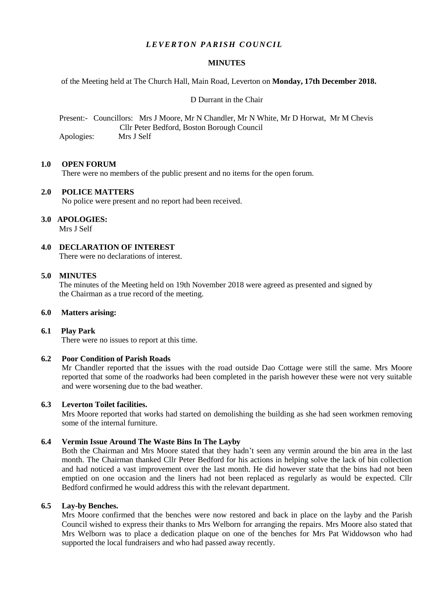# *LEVERTON PARISH COUNCIL*

## **MINUTES**

of the Meeting held at The Church Hall, Main Road, Leverton on **Monday, 17th December 2018.**

D Durrant in the Chair

 Present:- Councillors: Mrs J Moore, Mr N Chandler, Mr N White, Mr D Horwat, Mr M Chevis Cllr Peter Bedford, Boston Borough Council Apologies: Mrs J Self

### **1.0 OPEN FORUM**

There were no members of the public present and no items for the open forum.

### **2.0 POLICE MATTERS**

No police were present and no report had been received.

### **3.0 APOLOGIES:**

Mrs J Self

**4.0 DECLARATION OF INTEREST** There were no declarations of interest.

### **5.0 MINUTES**

 The minutes of the Meeting held on 19th November 2018 were agreed as presented and signed by the Chairman as a true record of the meeting.

#### **6.0 Matters arising:**

## **6.1 Play Park**

There were no issues to report at this time.

## **6.2 Poor Condition of Parish Roads**

Mr Chandler reported that the issues with the road outside Dao Cottage were still the same. Mrs Moore reported that some of the roadworks had been completed in the parish however these were not very suitable and were worsening due to the bad weather.

## **6.3 Leverton Toilet facilities.**

Mrs Moore reported that works had started on demolishing the building as she had seen workmen removing some of the internal furniture.

### **6.4 Vermin Issue Around The Waste Bins In The Layby**

Both the Chairman and Mrs Moore stated that they hadn't seen any vermin around the bin area in the last month. The Chairman thanked Cllr Peter Bedford for his actions in helping solve the lack of bin collection and had noticed a vast improvement over the last month. He did however state that the bins had not been emptied on one occasion and the liners had not been replaced as regularly as would be expected. Cllr Bedford confirmed he would address this with the relevant department.

#### **6.5 Lay-by Benches.**

Mrs Moore confirmed that the benches were now restored and back in place on the layby and the Parish Council wished to express their thanks to Mrs Welborn for arranging the repairs. Mrs Moore also stated that Mrs Welborn was to place a dedication plaque on one of the benches for Mrs Pat Widdowson who had supported the local fundraisers and who had passed away recently.